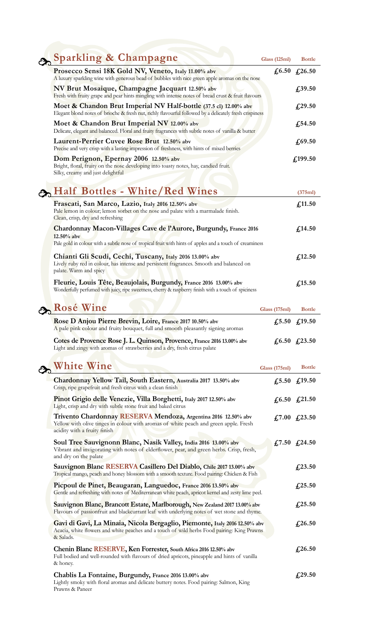| Sparkling & Champagne                                                                                                                                                                      | Glass $(125ml)$ | <b>Bottle</b>                  |
|--------------------------------------------------------------------------------------------------------------------------------------------------------------------------------------------|-----------------|--------------------------------|
| Prosecco Sensi 18K Gold NV, Veneto, Italy 11.00% abv<br>A luxury sparkling wine with generous bead of bubbles with nice green apple aromas on the nose                                     |                 | £6.50 £26.50                   |
| NV Brut Mosaique, Champagne Jacquart 12.50% abv<br>Fresh with fruity grape and pear hints mingling with intense notes of bread crust & fruit flavours                                      |                 | £39.50                         |
| Moet & Chandon Brut Imperial NV Half-bottle (37.5 cl) 12.00% aby<br>Elegant blond notes of brioche & fresh nut, richly flavourful followed by a delicately fresh crispiness                |                 | £29.50                         |
| Moet & Chandon Brut Imperial NV 12.00% abv<br>Delicate, elegant and balanced. Floral and fruity fragrances with subtle notes of vanilla & butter                                           |                 | f, 54.50                       |
| Laurent-Perrier Cuvee Rose Brut 12.50% abv<br>Precise and very crisp with a lasting impression of freshness, with hints of mixed berries                                                   |                 | £,69.50                        |
| Dom Perignon, Epernay 2006 12.50% abv<br>Bright, floral, fruity on the nose developing into toasty notes, hay, candied fruit.<br>Silky, creamy and just delightful                         |                 | £,199.50                       |
| Half Bottles - White/Red Wines                                                                                                                                                             |                 | (375ml)                        |
| Frascati, San Marco, Lazio, Italy 2016 12.50% abv<br>Pale lemon in colour; lemon sorbet on the nose and palate with a marmalade finish.<br>Clean, crisp, dry and refreshing                |                 | f,11.50                        |
| Chardonnay Macon-Villages Cave de l'Aurore, Burgundy, France 2016<br>12.50% abv<br>Pale gold in colour with a subtle nose of tropical fruit with hints of apples and a touch of creaminess |                 | £,14.50                        |
| Chianti Gli Scudi, Cechi, Tuscany, Italy 2016 13.00% abv<br>Lively ruby red in colour, has intense and persistent fragrances. Smooth and balanced on<br>palate. Warm and spicy             |                 | f,12.50                        |
| Fleurie, Louis Tête, Beaujolais, Burgundy, France 2016 13.00% abv<br>Wonderfully perfumed with juicy, ripe sweetness, cherry & raspberry finish with a touch of spiciness                  |                 | f(15.50)                       |
| <b>Rosé Wine</b>                                                                                                                                                                           | Glass $(175ml)$ | <b>Bottle</b>                  |
| Rose D Anjou Pierre Brevin, Loire, France 2017 10.50% abv<br>A pale pink colour and fruity bouquet, full and smooth pleasantly signing aromas                                              |                 | £5.50 £19.50                   |
| Cotes de Provence Rose J. L. Quinson, Provence, France 2016 13.00% abv<br>Light and zingy with aromas of strawberries and a dry, fresh citrus palate                                       |                 | $f(6.50 \text{ } f(23.50$      |
| <b>White Wine</b>                                                                                                                                                                          | Glass $(175ml)$ | <b>Bottle</b>                  |
| Chardonnay Yellow Tail, South Eastern, Australia 2017 13.50% abv<br>Crisp, ripe grapefruit and fresh citrus with a clean finish                                                            |                 | $f{,}5.50$ $f{,}19.50$         |
| Pinot Grigio delle Venezie, Villa Borghetti, Italy 2017 12.50% abv<br>Light, crisp and dry with subtle stone fruit and baked citrus                                                        |                 | $\pounds 6.50 \pounds 21.50$   |
| Trivento Chardonnay RESERVA Mendoza, Argentina 2016 12.50% abv<br>Yellow with olive tinges in colour with aromas of white peach and green apple. Fresh<br>acidity with a fruity finish     |                 | $\pounds$ 7.00 $\pounds$ 23.50 |
| Soul Tree Sauvignonn Blanc, Nasik Valley, India 2016 13.00% aby<br>Vibrant and invigorating with notes of elderflower, pear, and green herbs. Crisp, fresh,<br>and dry on the palate       |                 | £7.50 £24.50                   |
| Sauvignon Blanc RESERVA Casillero Del Diablo, Chile 2017 13.00% abv<br>Tropical mango, peach and honey blossom with a smooth texture. Food pairing: Chicken & Fish                         |                 | $f_{1,23.50}$                  |
| Picpoul de Pinet, Beaugaran, Languedoc, France 2016 13.50% abv<br>Gentle and refreshing with notes of Mediterranean white peach, apricot kernel and zesty lime peel.                       |                 | f, 25.50                       |
| Sauvignon Blanc, Brancott Estate, Marlborough, New Zealand 2017 13.00% abv<br>Flavours of passionfruit and blackcurrant leaf with underlying notes of wet stone and thyme.                 |                 | f, 25.50                       |
| Gavi di Gavi, La Minaia, Nicola Bergaglio, Piemonte, Italy 2016 12.50% abv<br>Acacia, white flowers and white peaches and a touch of wild herbs Food pairing: King Prawns<br>& Salads.     |                 | f,26.50                        |
| Chenin Blanc RESERVE, Ken Forrester, South Africa 2016 12.50% abv<br>Full bodied and well-rounded with flavours of dried apricots, pineapple and hints of vanilla<br>& honey.              |                 | f,26.50                        |
| Chablis La Fontaine, Burgundy, France 2016 13.00% abv<br>Lightly smoky with floral aromas and delicate buttery notes. Food pairing: Salmon, King<br>Prawns & Paneer                        |                 | £29.50                         |